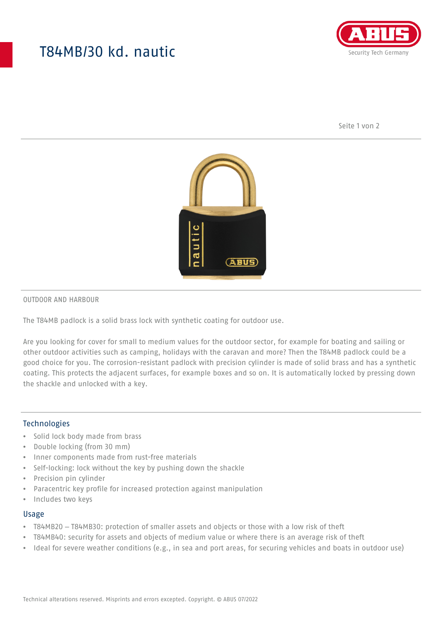## T84MB/30 kd. nautic



Seite 1 von 2



#### OUTDOOR AND HARBOUR

The T84MB padlock is a solid brass lock with synthetic coating for outdoor use.

Are you looking for cover for small to medium values for the outdoor sector, for example for boating and sailing or other outdoor activities such as camping, holidays with the caravan and more? Then the T84MB padlock could be a good choice for you. The corrosion-resistant padlock with precision cylinder is made of solid brass and has a synthetic coating. This protects the adjacent surfaces, for example boxes and so on. It is automatically locked by pressing down the shackle and unlocked with a key.

#### Technologies

- Solid lock body made from brass
- Double locking (from 30 mm)
- Inner components made from rust-free materials
- Self-locking: lock without the key by pushing down the shackle
- Precision pin cylinder
- Paracentric key profile for increased protection against manipulation
- Includes two keys

#### Usage

- T84MB20 T84MB30: protection of smaller assets and objects or those with a low risk of theft
- T84MB40: security for assets and objects of medium value or where there is an average risk of theft
- Ideal for severe weather conditions (e.g., in sea and port areas, for securing vehicles and boats in outdoor use)